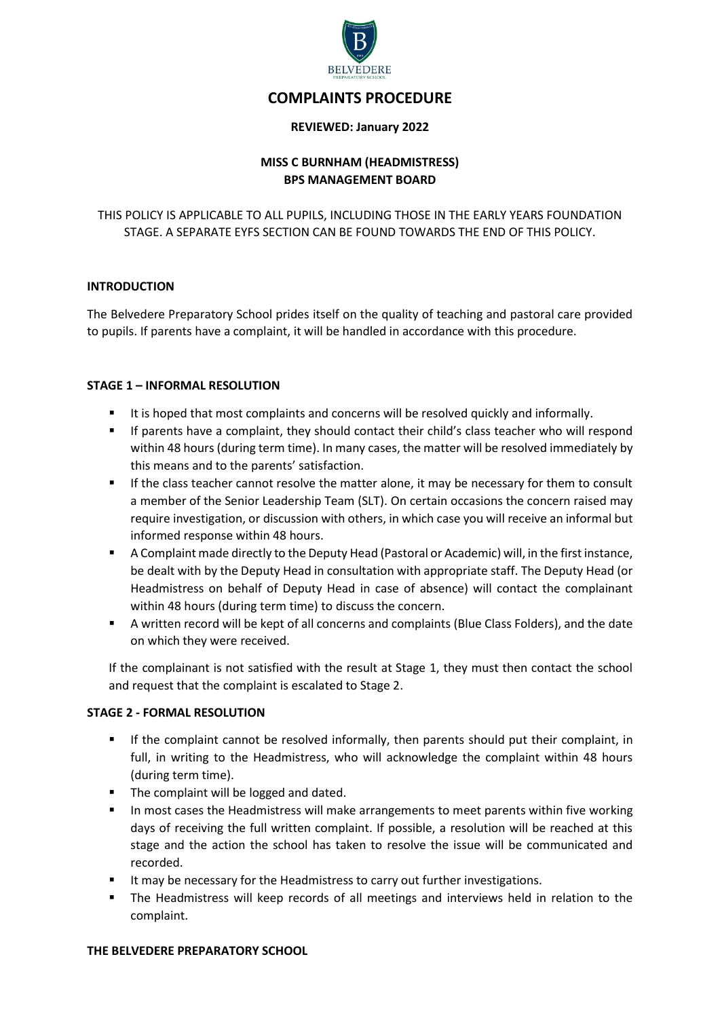

# **COMPLAINTS PROCEDURE**

#### **REVIEWED: January 2022**

## **MISS C BURNHAM (HEADMISTRESS) BPS MANAGEMENT BOARD**

THIS POLICY IS APPLICABLE TO ALL PUPILS, INCLUDING THOSE IN THE EARLY YEARS FOUNDATION STAGE. A SEPARATE EYFS SECTION CAN BE FOUND TOWARDS THE END OF THIS POLICY.

## **INTRODUCTION**

The Belvedere Preparatory School prides itself on the quality of teaching and pastoral care provided to pupils. If parents have a complaint, it will be handled in accordance with this procedure.

## **STAGE 1 – INFORMAL RESOLUTION**

- It is hoped that most complaints and concerns will be resolved quickly and informally.
- If parents have a complaint, they should contact their child's class teacher who will respond within 48 hours (during term time). In many cases, the matter will be resolved immediately by this means and to the parents' satisfaction.
- If the class teacher cannot resolve the matter alone, it may be necessary for them to consult a member of the Senior Leadership Team (SLT). On certain occasions the concern raised may require investigation, or discussion with others, in which case you will receive an informal but informed response within 48 hours.
- A Complaint made directly to the Deputy Head (Pastoral or Academic) will, in the first instance, be dealt with by the Deputy Head in consultation with appropriate staff. The Deputy Head (or Headmistress on behalf of Deputy Head in case of absence) will contact the complainant within 48 hours (during term time) to discuss the concern.
- A written record will be kept of all concerns and complaints (Blue Class Folders), and the date on which they were received.

If the complainant is not satisfied with the result at Stage 1, they must then contact the school and request that the complaint is escalated to Stage 2.

#### **STAGE 2 - FORMAL RESOLUTION**

- If the complaint cannot be resolved informally, then parents should put their complaint, in full, in writing to the Headmistress, who will acknowledge the complaint within 48 hours (during term time).
- The complaint will be logged and dated.
- **IF** In most cases the Headmistress will make arrangements to meet parents within five working days of receiving the full written complaint. If possible, a resolution will be reached at this stage and the action the school has taken to resolve the issue will be communicated and recorded.
- It may be necessary for the Headmistress to carry out further investigations.
- The Headmistress will keep records of all meetings and interviews held in relation to the complaint.

#### **THE BELVEDERE PREPARATORY SCHOOL**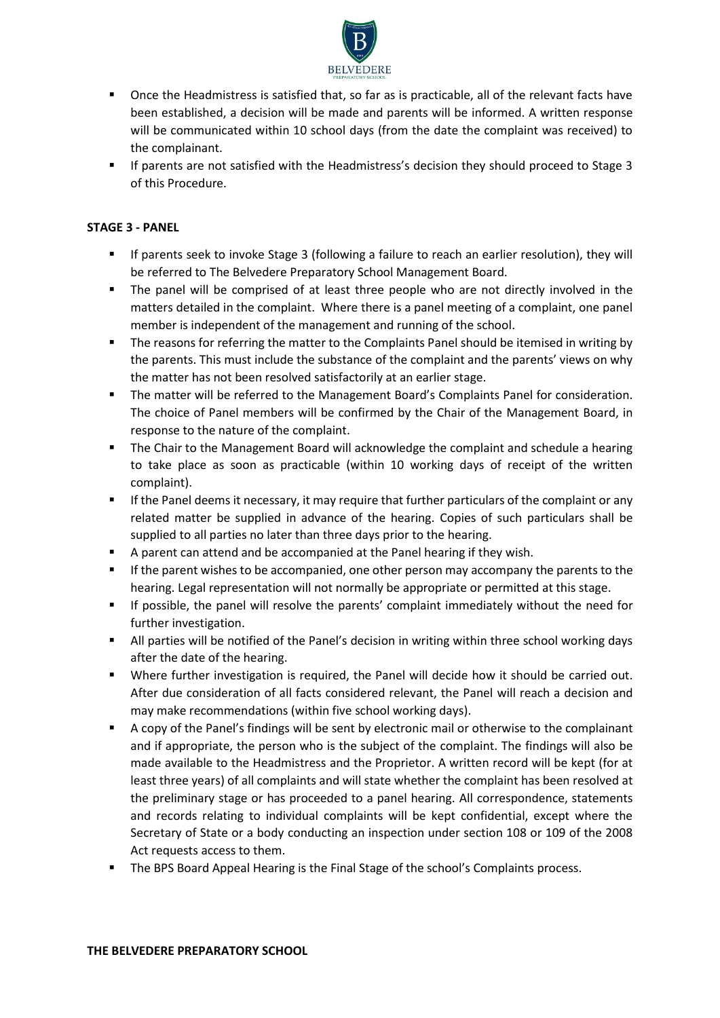

- Once the Headmistress is satisfied that, so far as is practicable, all of the relevant facts have been established, a decision will be made and parents will be informed. A written response will be communicated within 10 school days (from the date the complaint was received) to the complainant.
- If parents are not satisfied with the Headmistress's decision they should proceed to Stage 3 of this Procedure.

#### **STAGE 3 - PANEL**

- If parents seek to invoke Stage 3 (following a failure to reach an earlier resolution), they will be referred to The Belvedere Preparatory School Management Board.
- The panel will be comprised of at least three people who are not directly involved in the matters detailed in the complaint. Where there is a panel meeting of a complaint, one panel member is independent of the management and running of the school.
- The reasons for referring the matter to the Complaints Panel should be itemised in writing by the parents. This must include the substance of the complaint and the parents' views on why the matter has not been resolved satisfactorily at an earlier stage.
- The matter will be referred to the Management Board's Complaints Panel for consideration. The choice of Panel members will be confirmed by the Chair of the Management Board, in response to the nature of the complaint.
- **The Chair to the Management Board will acknowledge the complaint and schedule a hearing** to take place as soon as practicable (within 10 working days of receipt of the written complaint).
- **If the Panel deems it necessary, it may require that further particulars of the complaint or any** related matter be supplied in advance of the hearing. Copies of such particulars shall be supplied to all parties no later than three days prior to the hearing.
- A parent can attend and be accompanied at the Panel hearing if they wish.
- If the parent wishes to be accompanied, one other person may accompany the parents to the hearing. Legal representation will not normally be appropriate or permitted at this stage.
- If possible, the panel will resolve the parents' complaint immediately without the need for further investigation.
- All parties will be notified of the Panel's decision in writing within three school working days after the date of the hearing.
- Where further investigation is required, the Panel will decide how it should be carried out. After due consideration of all facts considered relevant, the Panel will reach a decision and may make recommendations (within five school working days).
- A copy of the Panel's findings will be sent by electronic mail or otherwise to the complainant and if appropriate, the person who is the subject of the complaint. The findings will also be made available to the Headmistress and the Proprietor. A written record will be kept (for at least three years) of all complaints and will state whether the complaint has been resolved at the preliminary stage or has proceeded to a panel hearing. All correspondence, statements and records relating to individual complaints will be kept confidential, except where the Secretary of State or a body conducting an inspection under section 108 or 109 of the 2008 Act requests access to them.
- The BPS Board Appeal Hearing is the Final Stage of the school's Complaints process.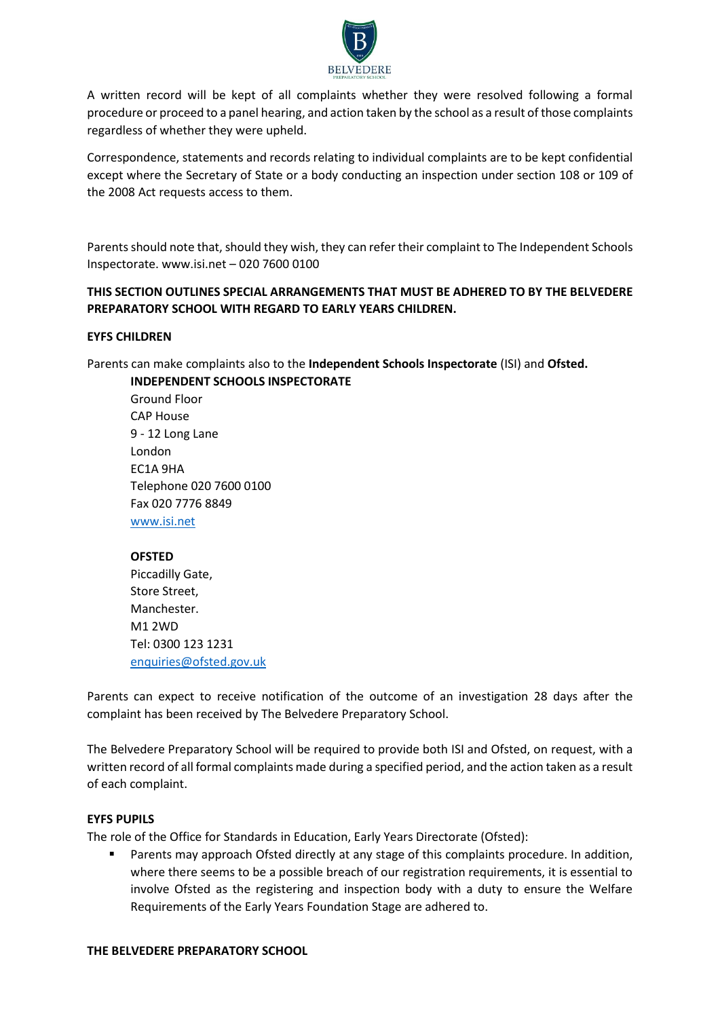

A written record will be kept of all complaints whether they were resolved following a formal procedure or proceed to a panel hearing, and action taken by the school as a result of those complaints regardless of whether they were upheld.

Correspondence, statements and records relating to individual complaints are to be kept confidential except where the Secretary of State or a body conducting an inspection under section 108 or 109 of the 2008 Act requests access to them.

Parents should note that, should they wish, they can refer their complaint to The Independent Schools Inspectorate. www.isi.net – 020 7600 0100

## **THIS SECTION OUTLINES SPECIAL ARRANGEMENTS THAT MUST BE ADHERED TO BY THE BELVEDERE PREPARATORY SCHOOL WITH REGARD TO EARLY YEARS CHILDREN.**

## **EYFS CHILDREN**

Parents can make complaints also to the **Independent Schools Inspectorate** (ISI) and **Ofsted.**

**INDEPENDENT SCHOOLS INSPECTORATE**  Ground Floor CAP House 9 - 12 Long Lane London EC1A 9HA Telephone 020 7600 0100 Fax 020 7776 8849 [www.isi.net](http://www.isi.net/)

## **OFSTED**

Piccadilly Gate, Store Street, Manchester. M1 2WD Tel: 0300 123 1231 [enquiries@ofsted.gov.uk](mailto:enquiries@ofsted.gov.uk)

Parents can expect to receive notification of the outcome of an investigation 28 days after the complaint has been received by The Belvedere Preparatory School.

The Belvedere Preparatory School will be required to provide both ISI and Ofsted, on request, with a written record of all formal complaints made during a specified period, and the action taken as a result of each complaint.

## **EYFS PUPILS**

The role of the Office for Standards in Education, Early Years Directorate (Ofsted):

 Parents may approach Ofsted directly at any stage of this complaints procedure. In addition, where there seems to be a possible breach of our registration requirements, it is essential to involve Ofsted as the registering and inspection body with a duty to ensure the Welfare Requirements of the Early Years Foundation Stage are adhered to.

#### **THE BELVEDERE PREPARATORY SCHOOL**